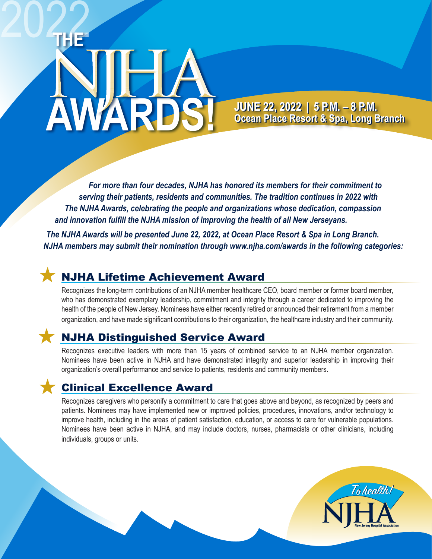# **AWARDS!** 2022

**JUNE 22, 2022 | 5 P.M. – 8 P.M. JUNE 22, 2022 | 5 P.M. – 8 P.M. Ocean Place Resort & Spa, Long Branch Ocean Place Resort & Spa, Long Branch**

*For more than four decades, NJHA has honored its members for their commitment to serving their patients, residents and communities. The tradition continues in 2022 with The NJHA Awards, celebrating the people and organizations whose dedication, compassion and innovation fulfill the NJHA mission of improving the health of all New Jerseyans.* 

*The NJHA Awards will be presented June 22, 2022, at Ocean Place Resort & Spa in Long Branch. NJHA members may submit their nomination through www.njha.com/awards in the following categories:*

## NJHA Lifetime Achievement Award

Recognizes the long-term contributions of an NJHA member healthcare CEO, board member or former board member, who has demonstrated exemplary leadership, commitment and integrity through a career dedicated to improving the health of the people of New Jersey. Nominees have either recently retired or announced their retirement from a member organization, and have made significant contributions to their organization, the healthcare industry and their community.

## NJHA Distinguished Service Award

Recognizes executive leaders with more than 15 years of combined service to an NJHA member organization. Nominees have been active in NJHA and have demonstrated integrity and superior leadership in improving their organization's overall performance and service to patients, residents and community members.

## Clinical Excellence Award

Recognizes caregivers who personify a commitment to care that goes above and beyond, as recognized by peers and patients. Nominees may have implemented new or improved policies, procedures, innovations, and/or technology to improve health, including in the areas of patient satisfaction, education, or access to care for vulnerable populations. Nominees have been active in NJHA, and may include doctors, nurses, pharmacists or other clinicians, including individuals, groups or units.